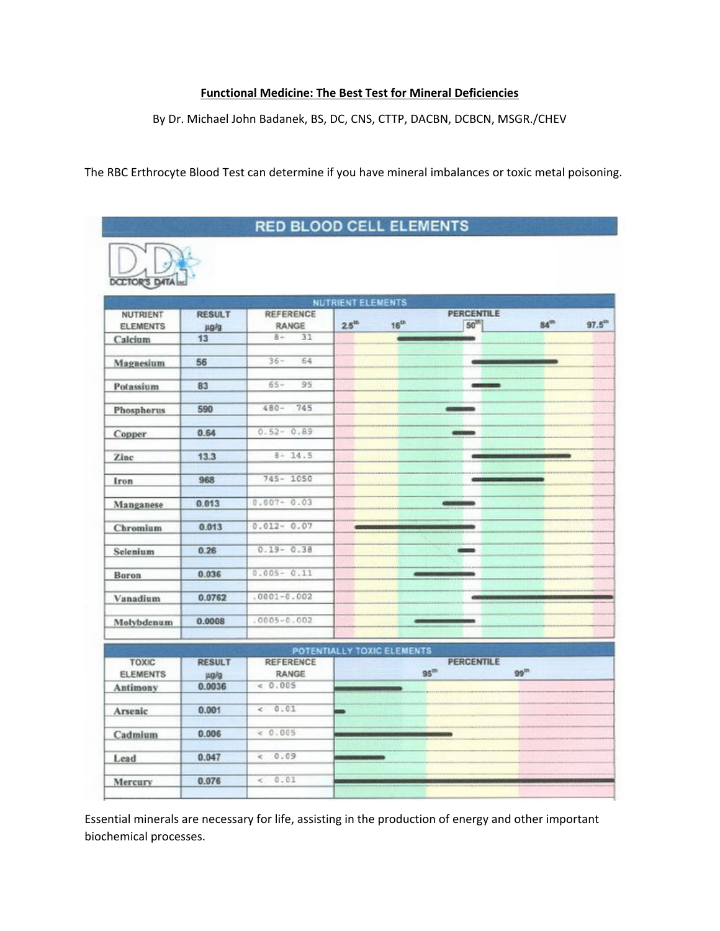## **Functional Medicine: The Best Test for Mineral Deficiencies**

By Dr. Michael John Badanek, BS, DC, CNS, CTTP, DACBN, DCBCN, MSGR./CHEV

The RBC Erthrocyte Blood Test can determine if you have mineral imbalances or toxic metal poisoning.

## **RED BLOOD CELL ELEMENTS**



|                                 |                       |                                  | <b>NUTRIENT ELEMENTS</b>   |                   |                                |                            |
|---------------------------------|-----------------------|----------------------------------|----------------------------|-------------------|--------------------------------|----------------------------|
| NUTRIENT<br><b>ELEMENTS</b>     | <b>RESULT</b><br>µg/g | <b>REFERENCE</b><br>RANGE        | $25^{\text{th}}$           | $16^{th}$         | <b>PERCENTILE</b><br>$50^{18}$ | $97.5^{\circ n}$<br>$84^m$ |
| Calcium                         | 13                    | 31<br>$8 -$                      |                            |                   |                                |                            |
|                                 |                       |                                  |                            |                   |                                |                            |
| Magnesium                       | 56                    | $36 -$<br>64                     |                            |                   |                                |                            |
| Potassium                       | 83                    | $65 -$<br>95                     |                            |                   |                                |                            |
| Phosphorus                      | 590                   | 745<br>$480 -$                   |                            |                   |                                |                            |
| Copper                          | 0.64                  | $0.52 - 0.89$                    |                            |                   | distants                       |                            |
| Zinc                            | 13.3                  | $8 - 14.5$                       |                            |                   |                                |                            |
| Iron                            | 968                   | $745 - 1050$                     |                            |                   |                                |                            |
| Manganese                       | 0.013                 | $0.007 - 0.03$                   |                            |                   |                                |                            |
| Chromium                        | 0.013                 | $0.012 - 0.07$                   |                            |                   |                                |                            |
| Selenium                        | 0.26                  | $0.19 - 0.38$                    |                            |                   |                                |                            |
| <b>Boron</b>                    | 0.036                 | $0.005 - 0.11$                   |                            |                   |                                |                            |
| Vanadium                        | 0.0762                | $.0001 - 0.002$                  |                            |                   |                                |                            |
| Molybdenum                      | 0.0008                | $0005 - 0.002$                   |                            |                   |                                |                            |
|                                 |                       |                                  | POTENTIALLY TOXIC ELEMENTS |                   |                                |                            |
| <b>TOXIC</b><br><b>ELEMENTS</b> | <b>RESULT</b><br>µg/g | <b>REFERENCE</b><br><b>RANGE</b> |                            | $95^{\mathrm{m}}$ | <b>PERCENTILE</b>              | 99 <sup>m</sup>            |
| Antimony                        | 0.0036                | 0.005                            |                            |                   |                                |                            |
|                                 |                       |                                  |                            |                   |                                |                            |
| Arsenic                         | 0.001                 | 0.01<br>ë                        | s.                         |                   |                                |                            |
| Cadmium                         | 0.006                 | < 0.005                          |                            |                   |                                |                            |
| Lead                            | 0.047                 | 0.09<br>k                        |                            |                   |                                |                            |
| Mercury                         | 0.076                 | 0.01<br>ë                        |                            |                   |                                |                            |

Essential minerals are necessary for life, assisting in the production of energy and other important biochemical processes.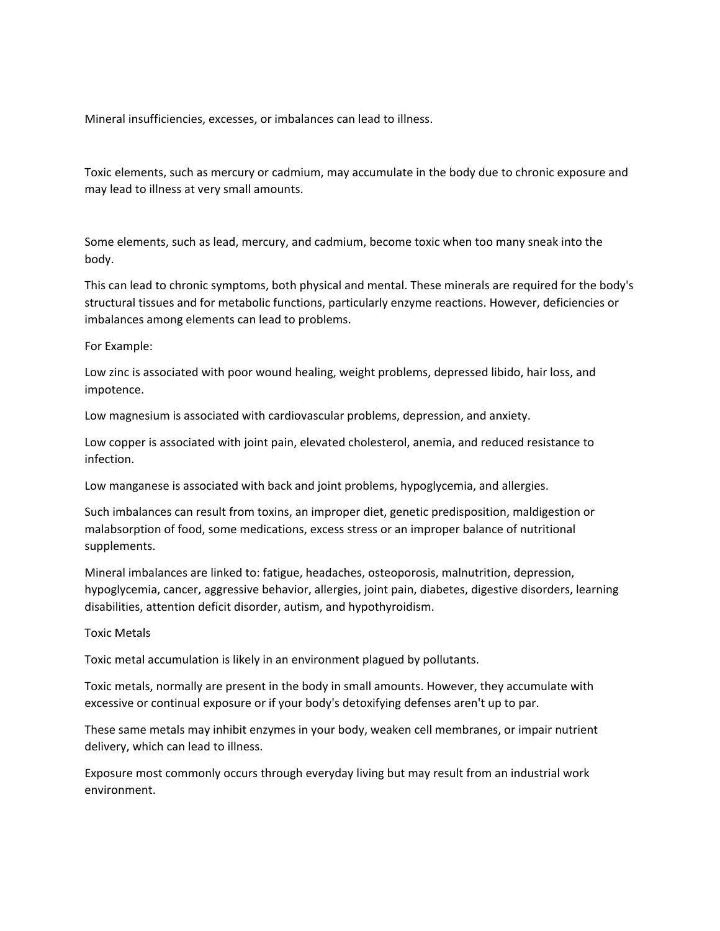Mineral insufficiencies, excesses, or imbalances can lead to illness.

Toxic elements, such as mercury or cadmium, may accumulate in the body due to chronic exposure and may lead to illness at very small amounts.

Some elements, such as lead, mercury, and cadmium, become toxic when too many sneak into the body.

This can lead to chronic symptoms, both physical and mental. These minerals are required for the body's structural tissues and for metabolic functions, particularly enzyme reactions. However, deficiencies or imbalances among elements can lead to problems.

## For Example:

Low zinc is associated with poor wound healing, weight problems, depressed libido, hair loss, and impotence.

Low magnesium is associated with cardiovascular problems, depression, and anxiety.

Low copper is associated with joint pain, elevated cholesterol, anemia, and reduced resistance to infection.

Low manganese is associated with back and joint problems, hypoglycemia, and allergies.

Such imbalances can result from toxins, an improper diet, genetic predisposition, maldigestion or malabsorption of food, some medications, excess stress or an improper balance of nutritional supplements.

Mineral imbalances are linked to: fatigue, headaches, osteoporosis, malnutrition, depression, hypoglycemia, cancer, aggressive behavior, allergies, joint pain, diabetes, digestive disorders, learning disabilities, attention deficit disorder, autism, and hypothyroidism.

Toxic Metals

Toxic metal accumulation is likely in an environment plagued by pollutants.

Toxic metals, normally are present in the body in small amounts. However, they accumulate with excessive or continual exposure or if your body's detoxifying defenses aren't up to par.

These same metals may inhibit enzymes in your body, weaken cell membranes, or impair nutrient delivery, which can lead to illness.

Exposure most commonly occurs through everyday living but may result from an industrial work environment.